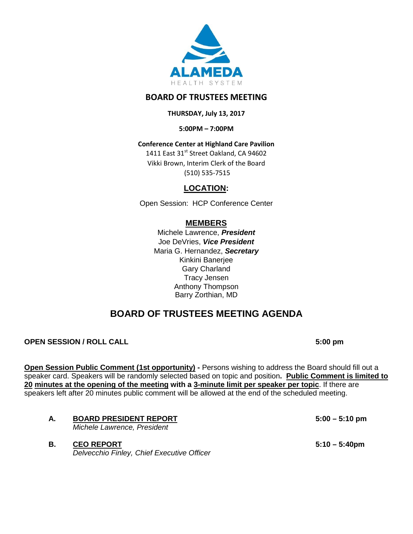

# **BOARD OF TRUSTEES MEETING**

# **THURSDAY, July 13, 2017**

**5:00PM – 7:00PM**

# **Conference Center at Highland Care Pavilion**

1411 East 31st Street Oakland, CA 94602 Vikki Brown, Interim Clerk of the Board (510) 535-7515

# **LOCATION:**

Open Session: HCP Conference Center

# **MEMBERS**

Michele Lawrence, *President*  Joe DeVries, *Vice President*  Maria G. Hernandez, *Secretary* Kinkini Banerjee Gary Charland Tracy Jensen Anthony Thompson Barry Zorthian, MD

# **BOARD OF TRUSTEES MEETING AGENDA**

# **OPEN SESSION / ROLL CALL 6 ALL 6 ALL 6 ALL 6 ALL 6 ALL 6 ALL 6 ALL 6 ALL 6 ALL 6 ALL 6 ALL 6 ALL 6 ALL 6 ALL 6 ALL 6 ALL 6 ALL 6 ALL 6 ALL 6 ALL 6 ALL 6 ALL 6 ALL 6 ALL 6 ALL 6 ALL 6 ALL 6 ALL 6 ALL 6 ALL 6 ALL 6 ALL 6 AL**

**Open Session Public Comment (1st opportunity) - Persons wishing to address the Board should fill out a** speaker card. Speakers will be randomly selected based on topic and position**. Public Comment is limited to 20 minutes at the opening of the meeting with a 3-minute limit per speaker per topic**. If there are speakers left after 20 minutes public comment will be allowed at the end of the scheduled meeting.

- **A. BOARD PRESIDENT REPORT 5:00 – 5:10 pm** *Michele Lawrence, President*
- **B. CEO REPORT 5:10 – 5:40pm** *Delvecchio Finley, Chief Executive Officer*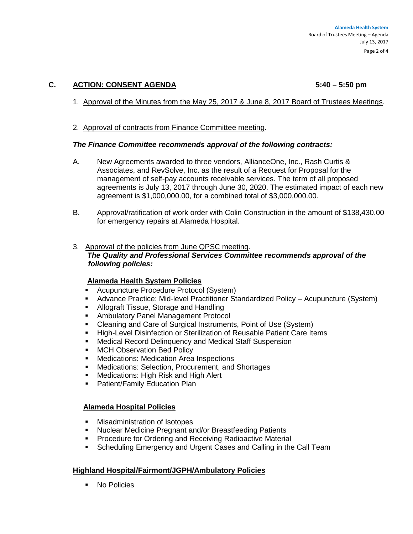# **C. ACTION: CONSENT AGENDA 5:40 – 5:50 pm**

- 1. Approval of the Minutes from the May 25, 2017 & June 8, 2017 Board of Trustees Meetings.
- 2. Approval of contracts from Finance Committee meeting.

#### *The Finance Committee recommends approval of the following contracts:*

- A. New Agreements awarded to three vendors, AllianceOne, Inc., Rash Curtis & Associates, and RevSolve, Inc. as the result of a Request for Proposal for the management of self-pay accounts receivable services. The term of all proposed agreements is July 13, 2017 through June 30, 2020. The estimated impact of each new agreement is \$1,000,000.00, for a combined total of \$3,000,000.00.
- B. Approval/ratification of work order with Colin Construction in the amount of \$138,430.00 for emergency repairs at Alameda Hospital.
- 3. Approval of the policies from June QPSC meeting. *The Quality and Professional Services Committee recommends approval of the following policies:*

# **Alameda Health System Policies**

- Acupuncture Procedure Protocol (System)
- Advance Practice: Mid-level Practitioner Standardized Policy Acupuncture (System)
- Allograft Tissue, Storage and Handling
- **Ambulatory Panel Management Protocol**
- **Cleaning and Care of Surgical Instruments, Point of Use (System)**<br>**E. High-Level Disinfection or Sterilization of Reusable Patient Care Ite**
- High-Level Disinfection or Sterilization of Reusable Patient Care Items
- **EXEDENT Medical Record Delinquency and Medical Staff Suspension**
- **MCH Observation Bed Policy**
- **•** Medications: Medication Area Inspections
- **EXECT** Medications: Selection, Procurement, and Shortages
- **Medications: High Risk and High Alert**
- **Patient/Family Education Plan**

#### **Alameda Hospital Policies**

- **Misadministration of Isotopes**
- **Nuclear Medicine Pregnant and/or Breastfeeding Patients**
- **Procedure for Ordering and Receiving Radioactive Material**
- **Scheduling Emergency and Urgent Cases and Calling in the Call Team**

# **Highland Hospital/Fairmont/JGPH/Ambulatory Policies**

No Policies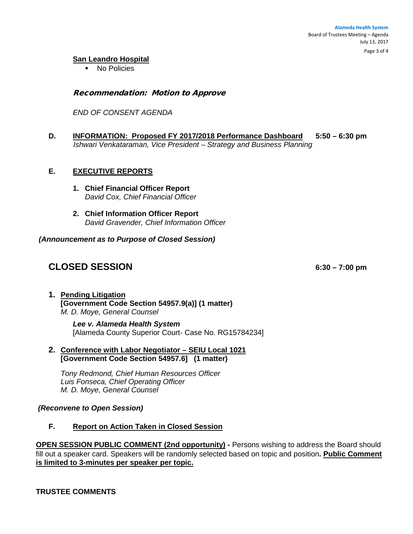#### **San Leandro Hospital**

**No Policies** 

### Recommendation: Motion to Approve

*END OF CONSENT AGENDA*

**D. INFORMATION: Proposed FY 2017/2018 Performance Dashboard 5:50 – 6:30 pm**  *Ishwari Venkataraman, Vice President – Strategy and Business Planning*

#### **E. EXECUTIVE REPORTS**

- **1. Chief Financial Officer Report** *David Cox, Chief Financial Officer*
- **2. Chief Information Officer Report** *David Gravender, Chief Information Officer*

#### *(Announcement as to Purpose of Closed Session)*

# **CLOSED SESSION 6:30 – 7:00 pm**

**1. Pending Litigation [Government Code Section 54957.9(a)] (1 matter)**  *M. D. Moye, General Counsel*

> *Lee v. Alameda Health System* [Alameda County Superior Court- Case No. RG15784234]

**2. Conference with Labor Negotiator – SEIU Local 1021 [Government Code Section 54957.6] (1 matter)**

*Tony Redmond, Chief Human Resources Officer Luis Fonseca, Chief Operating Officer M. D. Moye, General Counsel*

*(Reconvene to Open Session)* 

**F. Report on Action Taken in Closed Session**

**OPEN SESSION PUBLIC COMMENT (2nd opportunity) - Persons wishing to address the Board should** fill out a speaker card. Speakers will be randomly selected based on topic and position**. Public Comment is limited to 3-minutes per speaker per topic.**

**TRUSTEE COMMENTS**